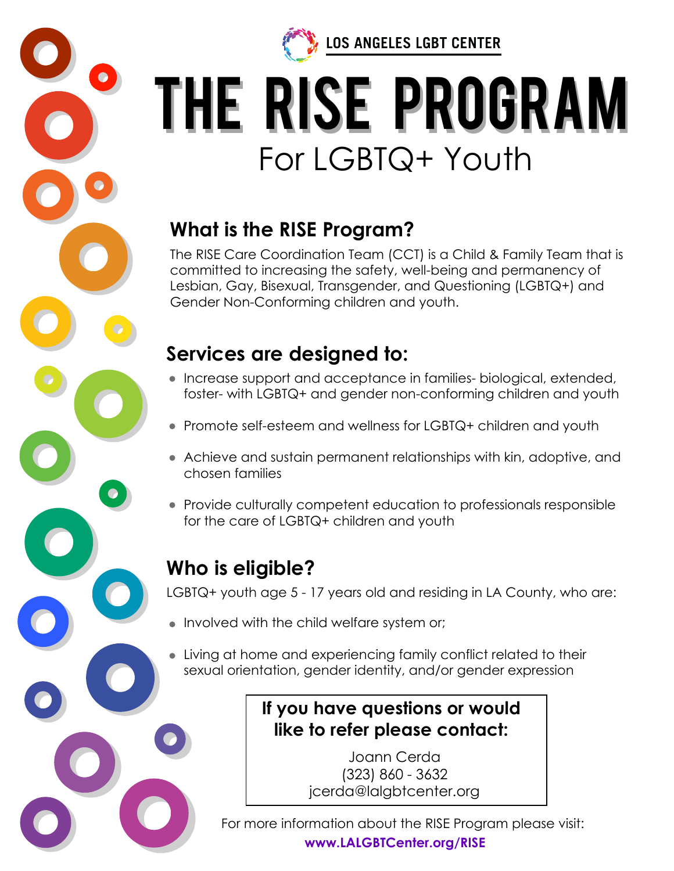

**LOS ANGELES LGBT CENTER** 

# the RISE Program The RISE PRograM For LGBTQ+ Youth

## **What is the RISE Program?**

The RISE Care Coordination Team (CCT) is a Child & Family Team that is committed to increasing the safety, well-being and permanency of Lesbian, Gay, Bisexual, Transgender, and Questioning (LGBTQ+) and Gender Non-Conforming children and youth.

## **Services are designed to:**

- Increase support and acceptance in families- biological, extended, foster- with LGBTQ+ and gender non-conforming children and youth
- Promote self-esteem and wellness for LGBTQ+ children and youth
- Achieve and sustain permanent relationships with kin, adoptive, and chosen families
- Provide culturally competent education to professionals responsible for the care of LGBTQ+ children and youth

# **Who is eligible?**

LGBTQ+ youth age 5 - 17 years old and residing in LA County, who are:

- Involved with the child welfare system or;
- Living at home and experiencing family conflict related to their sexual orientation, gender identity, and/or gender expression

## **If you have questions or would like to refer please contact:**

Joann Cerda (323) 860 - 3632 jcerda@lalgbtcenter.org

For more information about the RISE Program please visit: **www.LALGBTCenter.org/RISE**